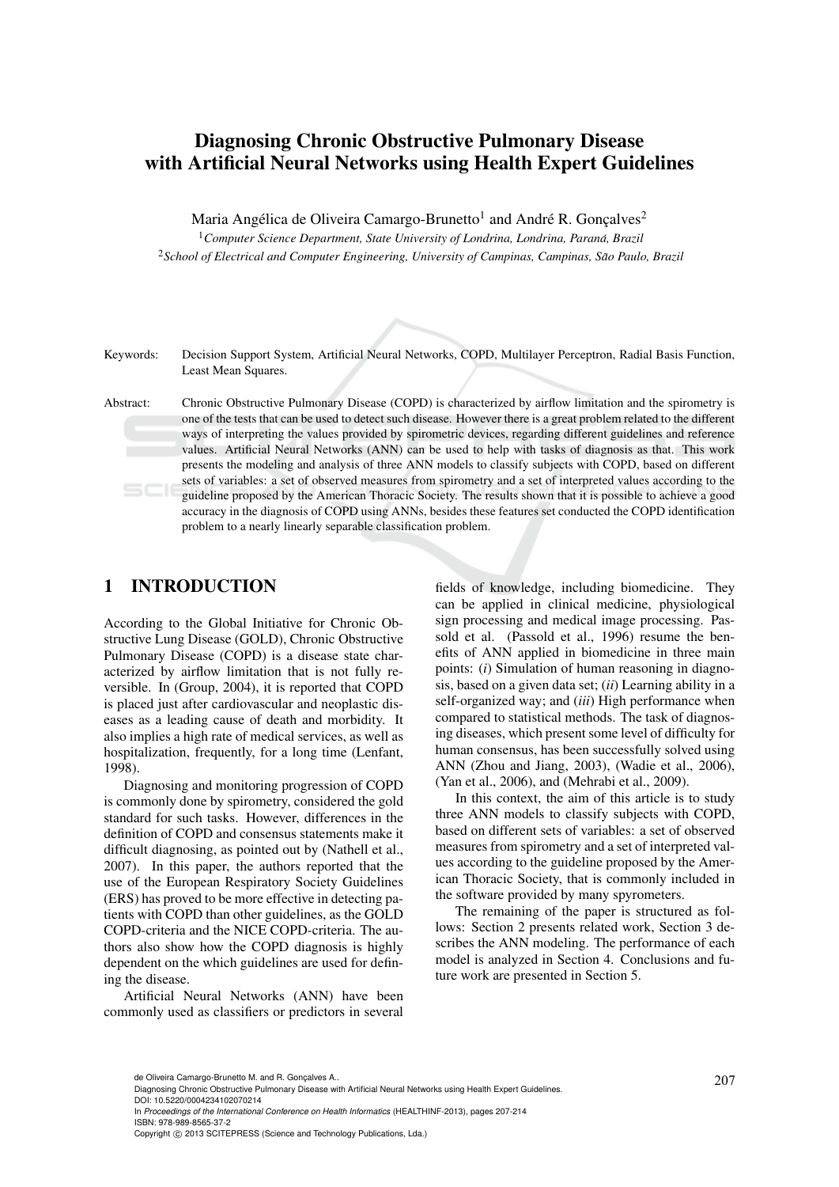# Diagnosing Chronic Obstructive Pulmonary Disease with Artificial Neural Networks using Health Expert Guidelines

Maria Angélica de Oliveira Camargo-Brunetto $^{\rm l}$  and André R. Gonçalves $^{\rm 2}$ 

<sup>1</sup>*Computer Science Department, State University of Londrina, Londrina, Parana, Brazil ´* <sup>2</sup>*School of Electrical and Computer Engineering, University of Campinas, Campinas, Sao Paulo, Brazil ˜*

Keywords: Decision Support System, Artificial Neural Networks, COPD, Multilayer Perceptron, Radial Basis Function, Least Mean Squares.

Abstract: Chronic Obstructive Pulmonary Disease (COPD) is characterized by airflow limitation and the spirometry is one of the tests that can be used to detect such disease. However there is a great problem related to the different ways of interpreting the values provided by spirometric devices, regarding different guidelines and reference values. Artificial Neural Networks (ANN) can be used to help with tasks of diagnosis as that. This work presents the modeling and analysis of three ANN models to classify subjects with COPD, based on different sets of variables: a set of observed measures from spirometry and a set of interpreted values according to the guideline proposed by the American Thoracic Society. The results shown that it is possible to achieve a good accuracy in the diagnosis of COPD using ANNs, besides these features set conducted the COPD identification problem to a nearly linearly separable classification problem.

## 1 INTRODUCTION

According to the Global Initiative for Chronic Obstructive Lung Disease (GOLD), Chronic Obstructive Pulmonary Disease (COPD) is a disease state characterized by airflow limitation that is not fully reversible. In (Group, 2004), it is reported that COPD is placed just after cardiovascular and neoplastic diseases as a leading cause of death and morbidity. It also implies a high rate of medical services, as well as hospitalization, frequently, for a long time (Lenfant, 1998).

Diagnosing and monitoring progression of COPD is commonly done by spirometry, considered the gold standard for such tasks. However, differences in the definition of COPD and consensus statements make it difficult diagnosing, as pointed out by (Nathell et al., 2007). In this paper, the authors reported that the use of the European Respiratory Society Guidelines (ERS) has proved to be more effective in detecting patients with COPD than other guidelines, as the GOLD COPD-criteria and the NICE COPD-criteria. The authors also show how the COPD diagnosis is highly dependent on the which guidelines are used for defining the disease.

Artificial Neural Networks (ANN) have been commonly used as classifiers or predictors in several

fields of knowledge, including biomedicine. They can be applied in clinical medicine, physiological sign processing and medical image processing. Passold et al. (Passold et al., 1996) resume the benefits of ANN applied in biomedicine in three main points: (*i*) Simulation of human reasoning in diagnosis, based on a given data set; (*ii*) Learning ability in a self-organized way; and (*iii*) High performance when compared to statistical methods. The task of diagnosing diseases, which present some level of difficulty for human consensus, has been successfully solved using ANN (Zhou and Jiang, 2003), (Wadie et al., 2006), (Yan et al., 2006), and (Mehrabi et al., 2009).

In this context, the aim of this article is to study three ANN models to classify subjects with COPD, based on different sets of variables: a set of observed measures from spirometry and a set of interpreted values according to the guideline proposed by the American Thoracic Society, that is commonly included in the software provided by many spyrometers.

The remaining of the paper is structured as follows: Section 2 presents related work, Section 3 describes the ANN modeling. The performance of each model is analyzed in Section 4. Conclusions and future work are presented in Section 5.

In *Proceedings of the International Conference on Health Informatics* (HEALTHINF-2013), pages 207-214 ISBN: 978-989-8565-37-2

de Oliveira Camargo-Brunetto M. and R. Gonçalves A..<br>Diagnosing Chronic Obstructive Pulmonary Disease with Artificial Neural Networks using Health Expert Guidelines. DOI: 10.5220/0004234102070214

Copyright © 2013 SCITEPRESS (Science and Technology Publications, Lda.)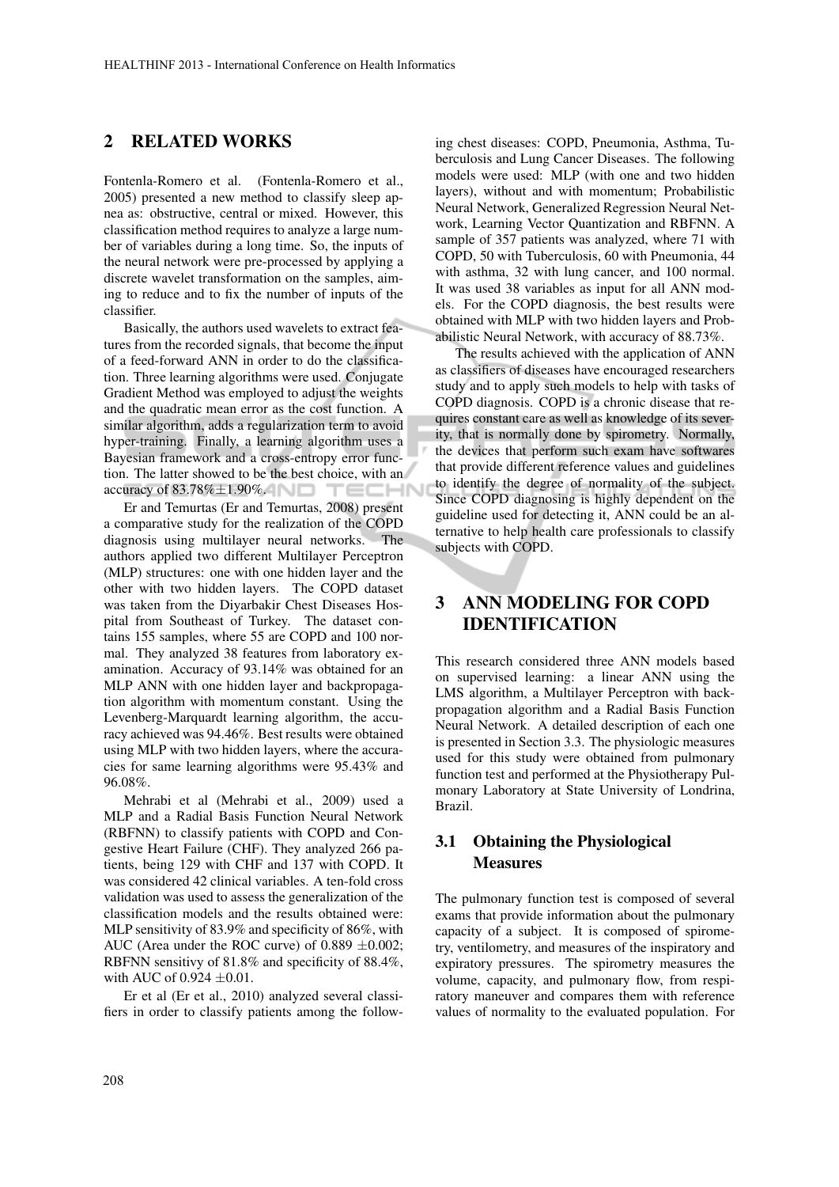### 2 RELATED WORKS

Fontenla-Romero et al. (Fontenla-Romero et al., 2005) presented a new method to classify sleep apnea as: obstructive, central or mixed. However, this classification method requires to analyze a large number of variables during a long time. So, the inputs of the neural network were pre-processed by applying a discrete wavelet transformation on the samples, aiming to reduce and to fix the number of inputs of the classifier.

Basically, the authors used wavelets to extract features from the recorded signals, that become the input of a feed-forward ANN in order to do the classification. Three learning algorithms were used. Conjugate Gradient Method was employed to adjust the weights and the quadratic mean error as the cost function. A similar algorithm, adds a regularization term to avoid hyper-training. Finally, a learning algorithm uses a Bayesian framework and a cross-entropy error function. The latter showed to be the best choice, with an accuracy of  $83.78\% \pm 1.90\%$ . **TECHN** 

Er and Temurtas (Er and Temurtas, 2008) present a comparative study for the realization of the COPD diagnosis using multilayer neural networks. The authors applied two different Multilayer Perceptron (MLP) structures: one with one hidden layer and the other with two hidden layers. The COPD dataset was taken from the Diyarbakir Chest Diseases Hospital from Southeast of Turkey. The dataset contains 155 samples, where 55 are COPD and 100 normal. They analyzed 38 features from laboratory examination. Accuracy of 93.14% was obtained for an MLP ANN with one hidden layer and backpropagation algorithm with momentum constant. Using the Levenberg-Marquardt learning algorithm, the accuracy achieved was 94.46%. Best results were obtained using MLP with two hidden layers, where the accuracies for same learning algorithms were 95.43% and 96.08%.

Mehrabi et al (Mehrabi et al., 2009) used a MLP and a Radial Basis Function Neural Network (RBFNN) to classify patients with COPD and Congestive Heart Failure (CHF). They analyzed 266 patients, being 129 with CHF and 137 with COPD. It was considered 42 clinical variables. A ten-fold cross validation was used to assess the generalization of the classification models and the results obtained were: MLP sensitivity of 83.9% and specificity of 86%, with AUC (Area under the ROC curve) of  $0.889 \pm 0.002$ ; RBFNN sensitivy of 81.8% and specificity of 88.4%, with AUC of  $0.924 \pm 0.01$ .

Er et al (Er et al., 2010) analyzed several classifiers in order to classify patients among the following chest diseases: COPD, Pneumonia, Asthma, Tuberculosis and Lung Cancer Diseases. The following models were used: MLP (with one and two hidden layers), without and with momentum; Probabilistic Neural Network, Generalized Regression Neural Network, Learning Vector Quantization and RBFNN. A sample of 357 patients was analyzed, where 71 with COPD, 50 with Tuberculosis, 60 with Pneumonia, 44 with asthma, 32 with lung cancer, and 100 normal. It was used 38 variables as input for all ANN models. For the COPD diagnosis, the best results were obtained with MLP with two hidden layers and Probabilistic Neural Network, with accuracy of 88.73%.

The results achieved with the application of ANN as classifiers of diseases have encouraged researchers study and to apply such models to help with tasks of COPD diagnosis. COPD is a chronic disease that requires constant care as well as knowledge of its severity, that is normally done by spirometry. Normally, the devices that perform such exam have softwares that provide different reference values and guidelines to identify the degree of normality of the subject. Since COPD diagnosing is highly dependent on the guideline used for detecting it, ANN could be an alternative to help health care professionals to classify subjects with COPD.

# 3 ANN MODELING FOR COPD IDENTIFICATION

This research considered three ANN models based on supervised learning: a linear ANN using the LMS algorithm, a Multilayer Perceptron with backpropagation algorithm and a Radial Basis Function Neural Network. A detailed description of each one is presented in Section 3.3. The physiologic measures used for this study were obtained from pulmonary function test and performed at the Physiotherapy Pulmonary Laboratory at State University of Londrina, Brazil.

### 3.1 Obtaining the Physiological **Measures**

The pulmonary function test is composed of several exams that provide information about the pulmonary capacity of a subject. It is composed of spirometry, ventilometry, and measures of the inspiratory and expiratory pressures. The spirometry measures the volume, capacity, and pulmonary flow, from respiratory maneuver and compares them with reference values of normality to the evaluated population. For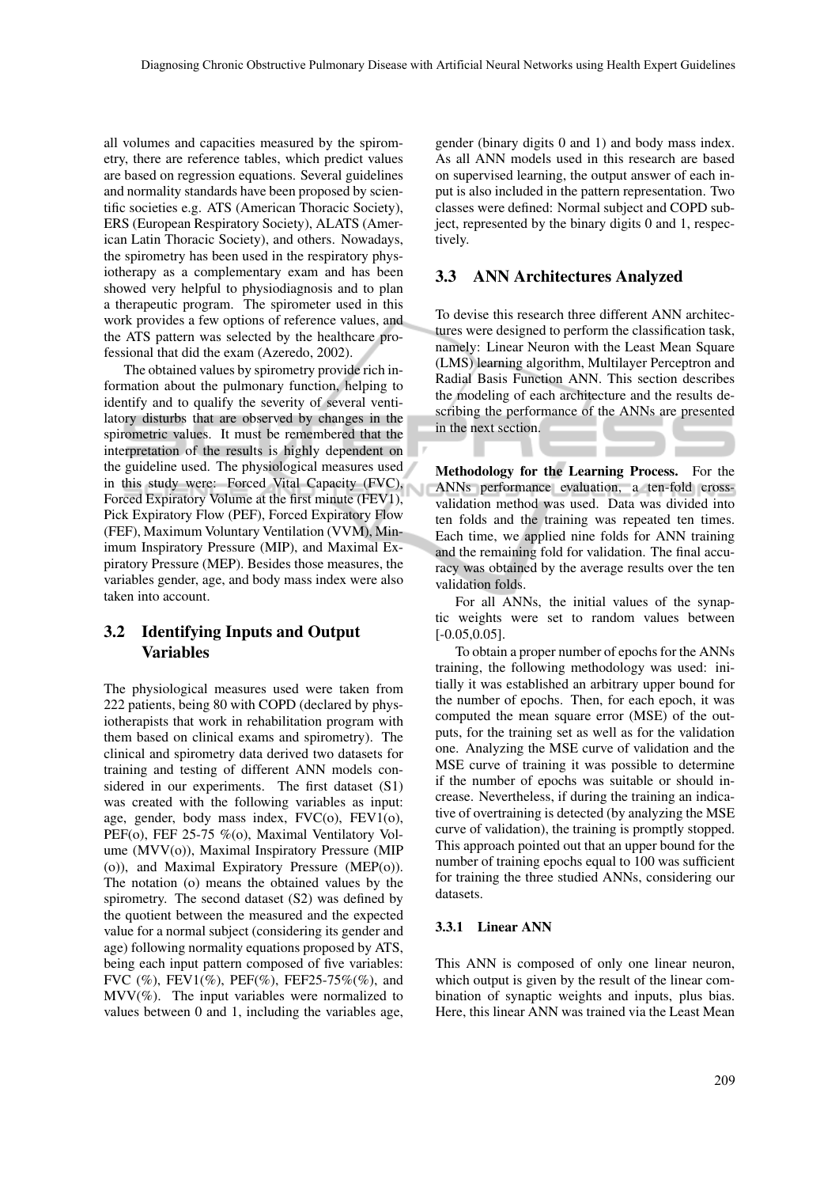all volumes and capacities measured by the spirometry, there are reference tables, which predict values are based on regression equations. Several guidelines and normality standards have been proposed by scientific societies e.g. ATS (American Thoracic Society), ERS (European Respiratory Society), ALATS (American Latin Thoracic Society), and others. Nowadays, the spirometry has been used in the respiratory physiotherapy as a complementary exam and has been showed very helpful to physiodiagnosis and to plan a therapeutic program. The spirometer used in this work provides a few options of reference values, and the ATS pattern was selected by the healthcare professional that did the exam (Azeredo, 2002).

The obtained values by spirometry provide rich information about the pulmonary function, helping to identify and to qualify the severity of several ventilatory disturbs that are observed by changes in the spirometric values. It must be remembered that the interpretation of the results is highly dependent on the guideline used. The physiological measures used in this study were: Forced Vital Capacity (FVC), Forced Expiratory Volume at the first minute (FEV1), Pick Expiratory Flow (PEF), Forced Expiratory Flow (FEF), Maximum Voluntary Ventilation (VVM), Minimum Inspiratory Pressure (MIP), and Maximal Expiratory Pressure (MEP). Besides those measures, the variables gender, age, and body mass index were also taken into account.

## 3.2 Identifying Inputs and Output Variables

The physiological measures used were taken from 222 patients, being 80 with COPD (declared by physiotherapists that work in rehabilitation program with them based on clinical exams and spirometry). The clinical and spirometry data derived two datasets for training and testing of different ANN models considered in our experiments. The first dataset (S1) was created with the following variables as input: age, gender, body mass index, FVC(o), FEV1(o), PEF(o), FEF 25-75 %(o), Maximal Ventilatory Volume (MVV(o)), Maximal Inspiratory Pressure (MIP (o)), and Maximal Expiratory Pressure (MEP(o)). The notation (o) means the obtained values by the spirometry. The second dataset (S2) was defined by the quotient between the measured and the expected value for a normal subject (considering its gender and age) following normality equations proposed by ATS, being each input pattern composed of five variables: FVC  $(\%)$ , FEV1 $(\%)$ , PEF $(\%)$ , FEF25-75% $(\%)$ , and  $MVV(\%)$ . The input variables were normalized to values between 0 and 1, including the variables age, gender (binary digits 0 and 1) and body mass index. As all ANN models used in this research are based on supervised learning, the output answer of each input is also included in the pattern representation. Two classes were defined: Normal subject and COPD subject, represented by the binary digits 0 and 1, respectively.

### 3.3 ANN Architectures Analyzed

To devise this research three different ANN architectures were designed to perform the classification task, namely: Linear Neuron with the Least Mean Square (LMS) learning algorithm, Multilayer Perceptron and Radial Basis Function ANN. This section describes the modeling of each architecture and the results describing the performance of the ANNs are presented in the next section.

Methodology for the Learning Process. For the ANNs performance evaluation, a ten-fold crossvalidation method was used. Data was divided into ten folds and the training was repeated ten times. Each time, we applied nine folds for ANN training and the remaining fold for validation. The final accuracy was obtained by the average results over the ten validation folds.

For all ANNs, the initial values of the synaptic weights were set to random values between  $[-0.05, 0.05]$ .

To obtain a proper number of epochs for the ANNs training, the following methodology was used: initially it was established an arbitrary upper bound for the number of epochs. Then, for each epoch, it was computed the mean square error (MSE) of the outputs, for the training set as well as for the validation one. Analyzing the MSE curve of validation and the MSE curve of training it was possible to determine if the number of epochs was suitable or should increase. Nevertheless, if during the training an indicative of overtraining is detected (by analyzing the MSE curve of validation), the training is promptly stopped. This approach pointed out that an upper bound for the number of training epochs equal to 100 was sufficient for training the three studied ANNs, considering our datasets.

#### 3.3.1 Linear ANN

This ANN is composed of only one linear neuron, which output is given by the result of the linear combination of synaptic weights and inputs, plus bias. Here, this linear ANN was trained via the Least Mean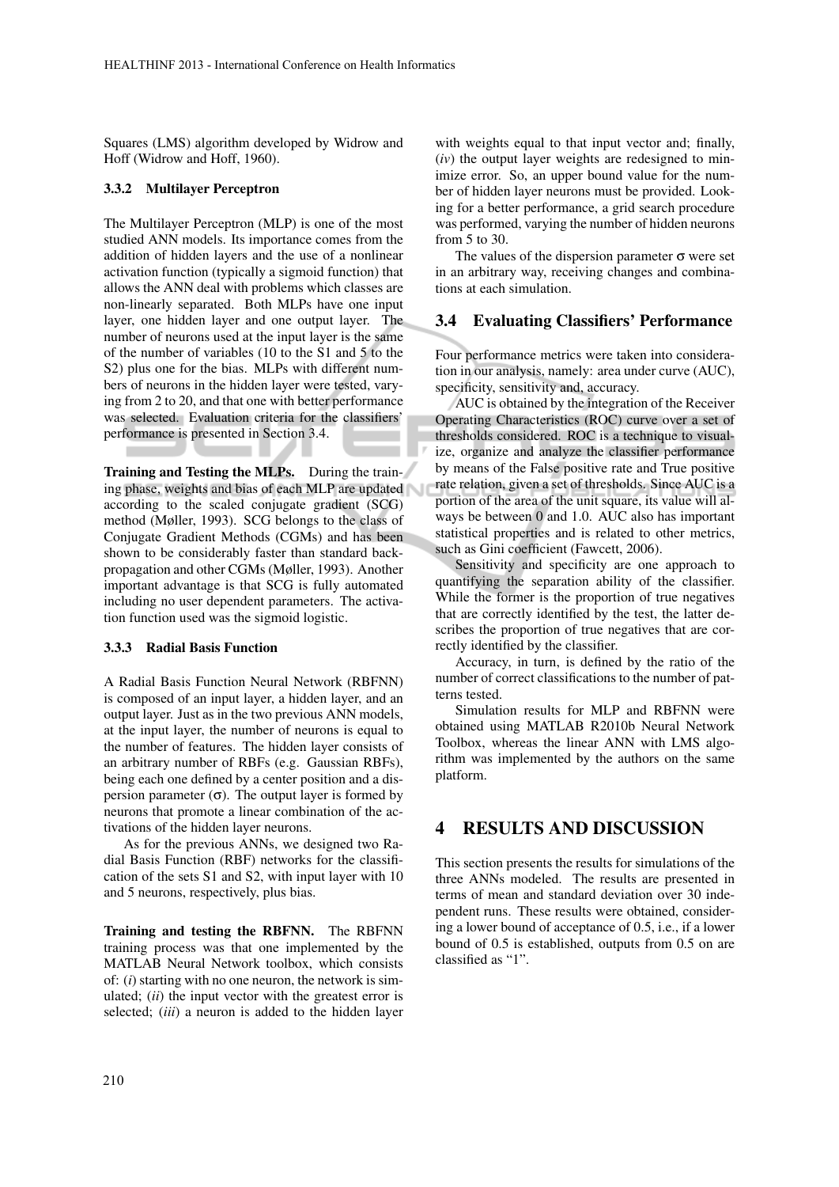Squares (LMS) algorithm developed by Widrow and Hoff (Widrow and Hoff, 1960).

#### 3.3.2 Multilayer Perceptron

The Multilayer Perceptron (MLP) is one of the most studied ANN models. Its importance comes from the addition of hidden layers and the use of a nonlinear activation function (typically a sigmoid function) that allows the ANN deal with problems which classes are non-linearly separated. Both MLPs have one input layer, one hidden layer and one output layer. The number of neurons used at the input layer is the same of the number of variables (10 to the S1 and 5 to the S2) plus one for the bias. MLPs with different numbers of neurons in the hidden layer were tested, varying from 2 to 20, and that one with better performance was selected. Evaluation criteria for the classifiers' performance is presented in Section 3.4.

Training and Testing the MLPs. During the training phase, weights and bias of each MLP are updated according to the scaled conjugate gradient (SCG) method (Møller, 1993). SCG belongs to the class of Conjugate Gradient Methods (CGMs) and has been shown to be considerably faster than standard backpropagation and other CGMs (Møller, 1993). Another important advantage is that SCG is fully automated including no user dependent parameters. The activation function used was the sigmoid logistic.

#### 3.3.3 Radial Basis Function

A Radial Basis Function Neural Network (RBFNN) is composed of an input layer, a hidden layer, and an output layer. Just as in the two previous ANN models, at the input layer, the number of neurons is equal to the number of features. The hidden layer consists of an arbitrary number of RBFs (e.g. Gaussian RBFs), being each one defined by a center position and a dispersion parameter  $(\sigma)$ . The output layer is formed by neurons that promote a linear combination of the activations of the hidden layer neurons.

As for the previous ANNs, we designed two Radial Basis Function (RBF) networks for the classification of the sets S1 and S2, with input layer with 10 and 5 neurons, respectively, plus bias.

Training and testing the RBFNN. The RBFNN training process was that one implemented by the MATLAB Neural Network toolbox, which consists of: (*i*) starting with no one neuron, the network is simulated; (*ii*) the input vector with the greatest error is selected; (*iii*) a neuron is added to the hidden layer

with weights equal to that input vector and; finally, (*iv*) the output layer weights are redesigned to minimize error. So, an upper bound value for the number of hidden layer neurons must be provided. Looking for a better performance, a grid search procedure was performed, varying the number of hidden neurons from 5 to 30.

The values of the dispersion parameter  $\sigma$  were set in an arbitrary way, receiving changes and combinations at each simulation.

#### 3.4 Evaluating Classifiers' Performance

Four performance metrics were taken into consideration in our analysis, namely: area under curve (AUC), specificity, sensitivity and, accuracy.

AUC is obtained by the integration of the Receiver Operating Characteristics (ROC) curve over a set of thresholds considered. ROC is a technique to visualize, organize and analyze the classifier performance by means of the False positive rate and True positive rate relation, given a set of thresholds. Since AUC is a portion of the area of the unit square, its value will always be between 0 and 1.0. AUC also has important statistical properties and is related to other metrics, such as Gini coefficient (Fawcett, 2006).

Sensitivity and specificity are one approach to quantifying the separation ability of the classifier. While the former is the proportion of true negatives that are correctly identified by the test, the latter describes the proportion of true negatives that are correctly identified by the classifier.

Accuracy, in turn, is defined by the ratio of the number of correct classifications to the number of patterns tested.

Simulation results for MLP and RBFNN were obtained using MATLAB R2010b Neural Network Toolbox, whereas the linear ANN with LMS algorithm was implemented by the authors on the same platform.

## 4 RESULTS AND DISCUSSION

This section presents the results for simulations of the three ANNs modeled. The results are presented in terms of mean and standard deviation over 30 independent runs. These results were obtained, considering a lower bound of acceptance of 0.5, i.e., if a lower bound of 0.5 is established, outputs from 0.5 on are classified as "1".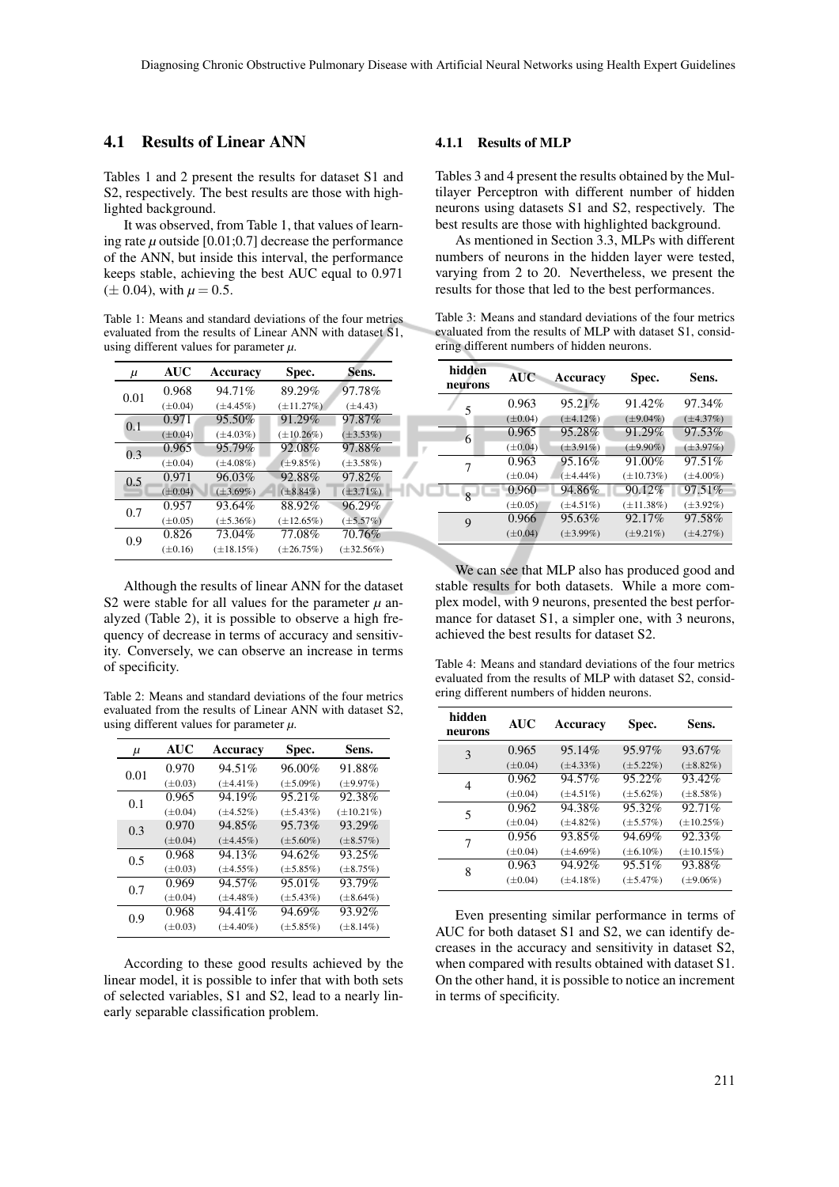### 4.1 Results of Linear ANN

Tables 1 and 2 present the results for dataset S1 and S2, respectively. The best results are those with highlighted background.

It was observed, from Table 1, that values of learning rate *µ* outside [0.01;0.7] decrease the performance of the ANN, but inside this interval, the performance keeps stable, achieving the best AUC equal to 0.971  $(\pm 0.04)$ , with  $\mu = 0.5$ .

Table 1: Means and standard deviations of the four metrics evaluated from the results of Linear ANN with dataset S1, using different values for parameter *µ*.

| μ    | <b>AUC</b>   | Accuracy        | Spec.           | Sens.           |
|------|--------------|-----------------|-----------------|-----------------|
| 0.01 | 0.968        | 94.71%          | 89.29%          | 97.78%          |
|      | $(\pm 0.04)$ | $(\pm 4.45\%)$  | $(\pm 11.27%)$  | $(\pm 4.43)$    |
| 0.1  | 0.971        | 95.50%          | 91.29%          | 97.87%          |
|      | $(\pm 0.04)$ | $(\pm 4.03\%)$  | $(\pm 10.26\%)$ | $(\pm 3.53\%)$  |
| 0.3  | 0.965        | 95.79%          | 92.08%          | 97.88%          |
|      | $(\pm 0.04)$ | $(\pm 4.08\%)$  | $(\pm 9.85\%)$  | $(\pm 3.58\%)$  |
| 0.5  | 0.971        | 96.03%          | 92.88%          | 97.82%          |
|      | $(\pm 0.04)$ | $(\pm 3.69\%)$  | $(\pm 8.84\%)$  | $(\pm 3.71\%)$  |
| 0.7  | 0.957        | 93.64%          | 88.92%          | 96.29%          |
|      | $(\pm 0.05)$ | $(\pm 5.36\%)$  | $(\pm 12.65\%)$ | $(\pm 5.57\%)$  |
| 0.9  | 0.826        | 73.04%          | 77.08%          | 70.76%          |
|      | $(\pm 0.16)$ | $(\pm 18.15\%)$ | $(\pm 26.75\%)$ | $(\pm 32.56\%)$ |
|      |              |                 |                 |                 |

Although the results of linear ANN for the dataset S2 were stable for all values for the parameter  $\mu$  analyzed (Table 2), it is possible to observe a high frequency of decrease in terms of accuracy and sensitivity. Conversely, we can observe an increase in terms of specificity.

Table 2: Means and standard deviations of the four metrics evaluated from the results of Linear ANN with dataset S2, using different values for parameter *µ*.

| $\mu$ | <b>AUC</b>   | Accuracy       | Spec.          | Sens.           |
|-------|--------------|----------------|----------------|-----------------|
| 0.01  | 0.970        | 94.51%         | 96.00%         | 91.88%          |
|       | $(\pm 0.03)$ | $(\pm 4.41\%)$ | $(\pm 5.09\%)$ | $(\pm 9.97\%)$  |
| 0.1   | 0.965        | 94.19%         | 95.21%         | 92.38%          |
|       | $(\pm 0.04)$ | $(\pm 4.52\%)$ | $(\pm 5.43\%)$ | $(\pm 10.21\%)$ |
| 0.3   | 0.970        | 94.85%         | 95.73%         | 93.29%          |
|       | $(\pm 0.04)$ | $(\pm 4.45\%)$ | $(\pm 5.60\%)$ | $(\pm 8.57%)$   |
| 0.5   | 0.968        | 94.13%         | 94.62%         | 93.25%          |
|       | $(\pm 0.03)$ | $(\pm 4.55\%)$ | $(\pm 5.85\%)$ | $(\pm 8.75\%)$  |
| 0.7   | 0.969        | 94.57%         | 95.01%         | 93.79%          |
|       | $(\pm 0.04)$ | $(\pm 4.48\%)$ | $(\pm 5.43\%)$ | $(\pm 8.64\%)$  |
| 0.9   | 0.968        | 94.41%         | 94.69%         | 93.92%          |
|       | $(\pm 0.03)$ | $(\pm 4.40\%)$ | $(\pm 5.85\%)$ | $(\pm 8.14\%)$  |

According to these good results achieved by the linear model, it is possible to infer that with both sets of selected variables, S1 and S2, lead to a nearly linearly separable classification problem.

#### 4.1.1 Results of MLP

Tables 3 and 4 present the results obtained by the Multilayer Perceptron with different number of hidden neurons using datasets S1 and S2, respectively. The best results are those with highlighted background.

As mentioned in Section 3.3, MLPs with different numbers of neurons in the hidden layer were tested, varying from 2 to 20. Nevertheless, we present the results for those that led to the best performances.

Table 3: Means and standard deviations of the four metrics evaluated from the results of MLP with dataset S1, considering different numbers of hidden neurons.

| hidden<br>neurons | <b>AUC</b>   | Accuracy       | Spec.           | Sens.          |
|-------------------|--------------|----------------|-----------------|----------------|
| 5                 | 0.963        | 95.21%         | 91.42%          | 97.34%         |
|                   | $(\pm 0.04)$ | $(\pm 4.12\%)$ | $(\pm 9.04\%)$  | $(\pm 4.37\%)$ |
| 6                 | 0.965        | 95.28%         | 91.29%          | 97.53%         |
|                   | $(\pm 0.04)$ | $(\pm 3.91\%)$ | $(\pm 9.90\%)$  | $(\pm 3.97\%)$ |
| 7                 | 0.963        | 95.16%         | 91.00%          | 97.51%         |
|                   | $(\pm 0.04)$ | $(\pm 4.44\%)$ | $(\pm 10.73\%)$ | $(\pm 4.00\%)$ |
| $\mathbf{R}$      | 0.960        | 94.86%         | 90.12%          | 97.51%         |
|                   | $(\pm 0.05)$ | $(\pm 4.51\%)$ | $(\pm 11.38\%)$ | $(\pm 3.92\%)$ |
| 9                 | 0.966        | 95.63%         | 92.17%          | 97.58%         |
|                   | $(\pm 0.04)$ | $(\pm 3.99\%)$ | $(\pm 9.21\%)$  | $(\pm 4.27\%)$ |

We can see that MLP also has produced good and stable results for both datasets. While a more complex model, with 9 neurons, presented the best performance for dataset S1, a simpler one, with 3 neurons, achieved the best results for dataset S2.

Table 4: Means and standard deviations of the four metrics evaluated from the results of MLP with dataset S2, considering different numbers of hidden neurons.

| hidden<br>neurons | <b>AUC</b>   | Accuracy       | Spec.          | Sens.           |
|-------------------|--------------|----------------|----------------|-----------------|
| 3                 | 0.965        | 95.14%         | 95.97%         | 93.67%          |
|                   | $(\pm 0.04)$ | $(\pm 4.33\%)$ | $(\pm 5.22\%)$ | $(\pm 8.82\%)$  |
| 4                 | 0.962        | 94.57%         | 95.22%         | 93.42%          |
|                   | $(\pm 0.04)$ | $(\pm 4.51\%)$ | $(\pm 5.62\%)$ | $(\pm 8.58\%)$  |
| 5                 | 0.962        | 94.38%         | 95.32%         | 92.71%          |
|                   | $(\pm 0.04)$ | $(\pm 4.82\%)$ | $(\pm 5.57\%)$ | $(\pm 10.25\%)$ |
| 7                 | 0.956        | 93.85%         | 94.69%         | 92.33%          |
|                   | $(\pm 0.04)$ | $(\pm 4.69\%)$ | $(\pm 6.10\%)$ | $(\pm 10.15\%)$ |
| 8                 | 0.963        | 94.92%         | 95.51%         | 93.88%          |
|                   | $(\pm 0.04)$ | $(\pm 4.18\%)$ | $(\pm 5.47\%)$ | $(\pm 9.06\%)$  |

Even presenting similar performance in terms of AUC for both dataset S1 and S2, we can identify decreases in the accuracy and sensitivity in dataset S2, when compared with results obtained with dataset S1. On the other hand, it is possible to notice an increment in terms of specificity.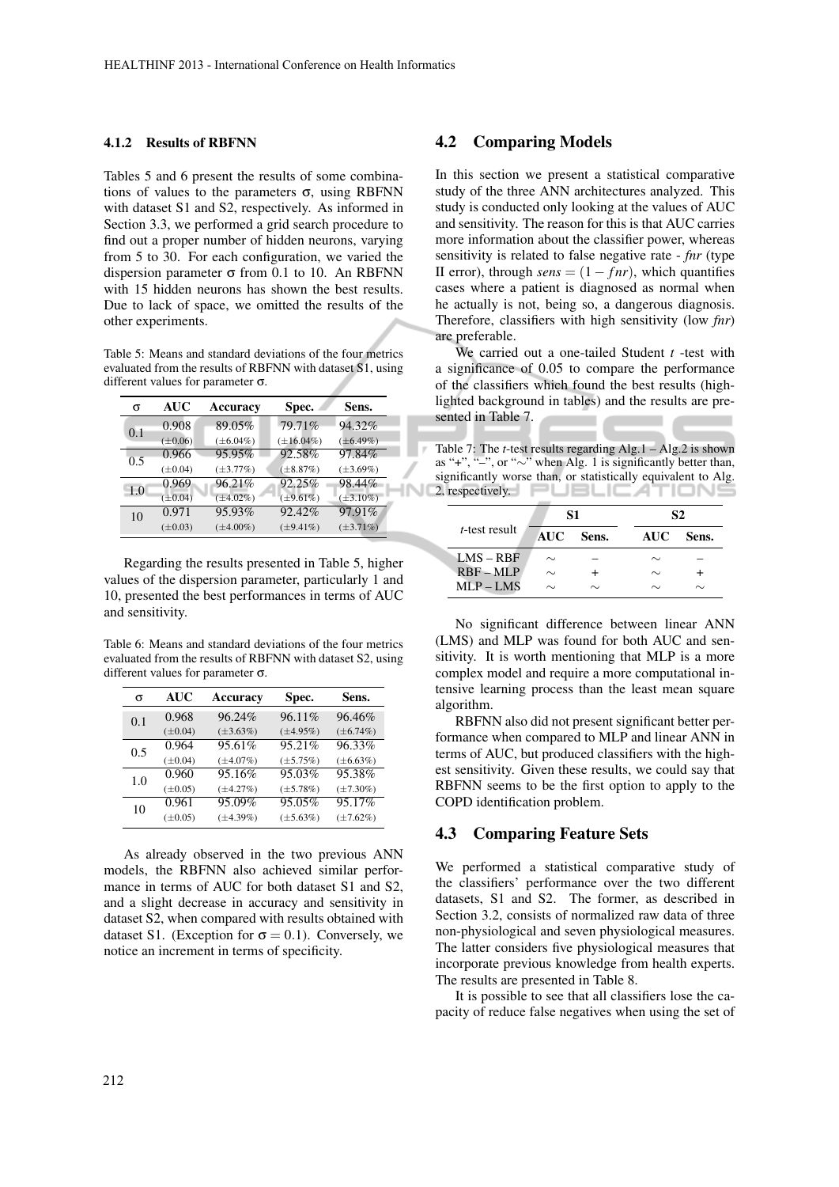#### 4.1.2 Results of RBFNN

Tables 5 and 6 present the results of some combinations of values to the parameters  $\sigma$ , using RBFNN with dataset S1 and S2, respectively. As informed in Section 3.3, we performed a grid search procedure to find out a proper number of hidden neurons, varying from 5 to 30. For each configuration, we varied the dispersion parameter  $\sigma$  from 0.1 to 10. An RBFNN with 15 hidden neurons has shown the best results. Due to lack of space, we omitted the results of the other experiments.

Table 5: Means and standard deviations of the four metrics evaluated from the results of RBFNN with dataset S1, using different values for parameter σ.

| 79.71%<br>94.32%<br>89.05%<br>0.908<br>0.1                          |  |
|---------------------------------------------------------------------|--|
| $(\pm 16.04\%)$<br>$(\pm 0.06)$<br>$(\pm 6.04\%)$<br>$(\pm 6.49\%)$ |  |
| 92.58%<br>97.84%<br>95.95%<br>0.966<br>0.5                          |  |
| $(\pm 8.87\%)$<br>$(\pm 3.77\%)$<br>$(\pm 3.69\%)$<br>$(\pm 0.04)$  |  |
| 92.25%<br>96.21%<br>98.44%<br>0.969<br>1.0                          |  |
| $(\pm 4.02\%)$<br>$(\pm 9.61\%)$<br>$(\pm 3.10\%)$<br>$(\pm 0.04)$  |  |
| 97.91%<br>95.93%<br>92.42%<br>0.971<br>10                           |  |
| $(\pm 3.71\%)$<br>$(\pm 4.00\%)$<br>$(\pm 9.41\%)$<br>$(\pm 0.03)$  |  |

Regarding the results presented in Table 5, higher values of the dispersion parameter, particularly 1 and 10, presented the best performances in terms of AUC and sensitivity.

Table 6: Means and standard deviations of the four metrics evaluated from the results of RBFNN with dataset S2, using different values for parameter σ.

| σ   | <b>AUC</b>   | <b>Accuracy</b> | Spec.          | Sens.          |
|-----|--------------|-----------------|----------------|----------------|
| 0.1 | 0.968        | 96.24%          | 96.11%         | 96.46%         |
|     | $(\pm 0.04)$ | $(\pm 3.63\%)$  | $(\pm 4.95\%)$ | $(\pm 6.74\%)$ |
| 0.5 | 0.964        | 95.61%          | 95.21%         | $96.33\%$      |
|     | $(\pm 0.04)$ | $(\pm 4.07\%)$  | $(\pm 5.75\%)$ | $(\pm 6.63\%)$ |
| 1.0 | 0.960        | 95.16%          | 95.03%         | 95.38%         |
|     | $(\pm 0.05)$ | $(\pm 4.27\%)$  | $(\pm 5.78\%)$ | $(\pm 7.30\%)$ |
| 10  | 0.961        | 95.09%          | 95.05%         | 95.17%         |
|     | $(\pm 0.05)$ | $(\pm 4.39\%)$  | $(\pm 5.63\%)$ | $(\pm 7.62\%)$ |
|     |              |                 |                |                |

As already observed in the two previous ANN models, the RBFNN also achieved similar performance in terms of AUC for both dataset S1 and S2, and a slight decrease in accuracy and sensitivity in dataset S2, when compared with results obtained with dataset S1. (Exception for  $\sigma = 0.1$ ). Conversely, we notice an increment in terms of specificity.

### 4.2 Comparing Models

In this section we present a statistical comparative study of the three ANN architectures analyzed. This study is conducted only looking at the values of AUC and sensitivity. The reason for this is that AUC carries more information about the classifier power, whereas sensitivity is related to false negative rate - *fnr* (type II error), through  $sens = (1 - fnr)$ , which quantifies cases where a patient is diagnosed as normal when he actually is not, being so, a dangerous diagnosis. Therefore, classifiers with high sensitivity (low *fnr*) are preferable.

We carried out a one-tailed Student *t* -test with a significance of 0.05 to compare the performance of the classifiers which found the best results (highlighted background in tables) and the results are presented in Table 7.

Table 7: The *t*-test results regarding Alg.1 – Alg.2 is shown as "+", "–", or "∼" when Alg. 1 is significantly better than, significantly worse than, or statistically equivalent to Alg. 2, respectively.

|                       |            | <b>S1</b> |            | <b>S2</b> |
|-----------------------|------------|-----------|------------|-----------|
| <i>t</i> -test result | <b>AUC</b> | Sens.     | <b>AUC</b> | Sens.     |
| $LMS - RBF$           | $\sim$     |           | $\sim$     |           |
| $RBF - MLP$           | $\sim$     |           | $\sim$     |           |
| $MLP-LMS$             | $\sim$     |           | $\sim$     |           |

No significant difference between linear ANN (LMS) and MLP was found for both AUC and sensitivity. It is worth mentioning that MLP is a more complex model and require a more computational intensive learning process than the least mean square algorithm.

RBFNN also did not present significant better performance when compared to MLP and linear ANN in terms of AUC, but produced classifiers with the highest sensitivity. Given these results, we could say that RBFNN seems to be the first option to apply to the COPD identification problem.

#### 4.3 Comparing Feature Sets

We performed a statistical comparative study of the classifiers' performance over the two different datasets, S1 and S2. The former, as described in Section 3.2, consists of normalized raw data of three non-physiological and seven physiological measures. The latter considers five physiological measures that incorporate previous knowledge from health experts. The results are presented in Table 8.

It is possible to see that all classifiers lose the capacity of reduce false negatives when using the set of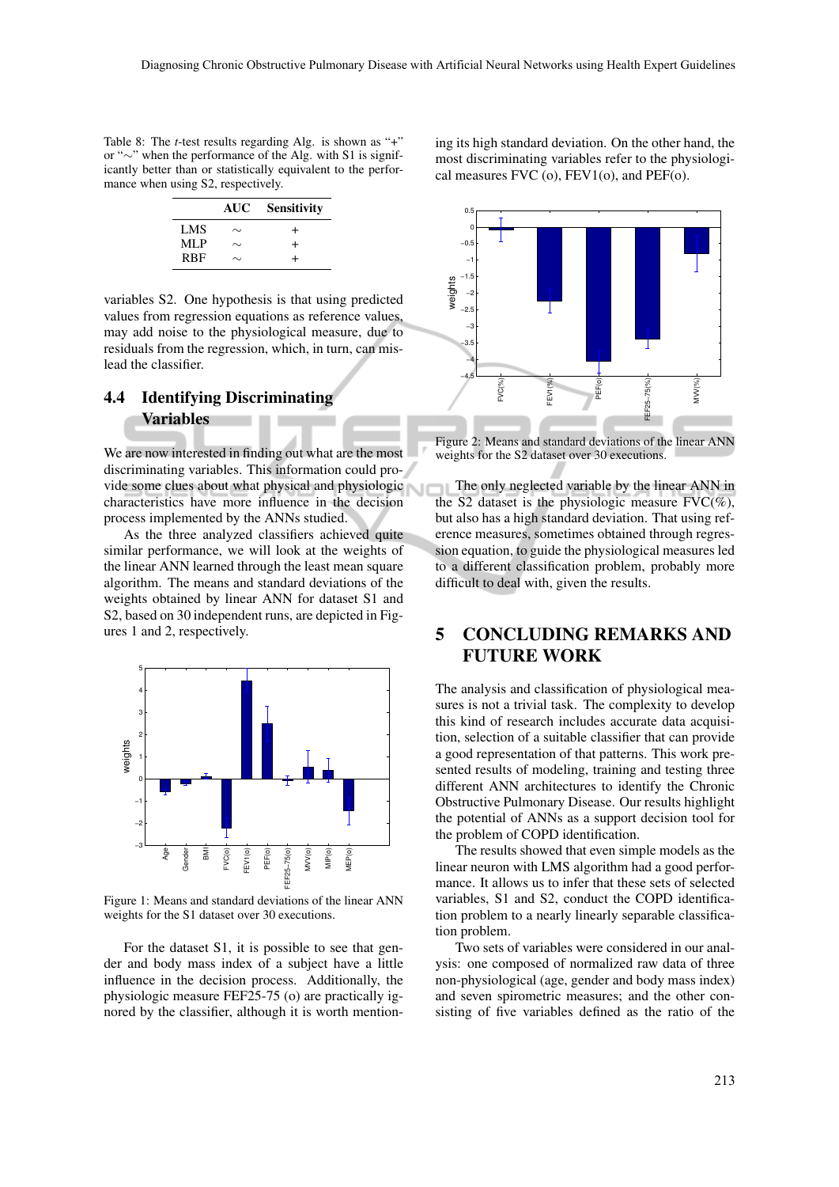Table 8: The *t*-test results regarding Alg. is shown as "+" or "∼" when the performance of the Alg. with S1 is significantly better than or statistically equivalent to the performance when using S2, respectively.

|            | AUC -  | <b>Sensitivity</b> |
|------------|--------|--------------------|
| LMS        | $\sim$ | $\div$             |
| MLP        | ∼      | $\div$             |
| <b>RBF</b> | ∼      | +                  |

variables S2. One hypothesis is that using predicted values from regression equations as reference values, may add noise to the physiological measure, due to residuals from the regression, which, in turn, can mislead the classifier.

## 4.4 Identifying Discriminating Variables

We are now interested in finding out what are the most discriminating variables. This information could provide some clues about what physical and physiologic characteristics have more influence in the decision process implemented by the ANNs studied.

As the three analyzed classifiers achieved quite similar performance, we will look at the weights of the linear ANN learned through the least mean square algorithm. The means and standard deviations of the weights obtained by linear ANN for dataset S1 and S2, based on 30 independent runs, are depicted in Figures 1 and 2, respectively.



Figure 1: Means and standard deviations of the linear ANN weights for the S1 dataset over 30 executions.

For the dataset S1, it is possible to see that gender and body mass index of a subject have a little influence in the decision process. Additionally, the physiologic measure FEF25-75 (o) are practically ignored by the classifier, although it is worth mentioning its high standard deviation. On the other hand, the most discriminating variables refer to the physiological measures FVC (o), FEV1(o), and PEF(o).



Figure 2: Means and standard deviations of the linear ANN weights for the S2 dataset over 30 executions.

The only neglected variable by the linear ANN in the S2 dataset is the physiologic measure  $FVC(\%)$ , but also has a high standard deviation. That using reference measures, sometimes obtained through regression equation, to guide the physiological measures led to a different classification problem, probably more difficult to deal with, given the results.

## 5 CONCLUDING REMARKS AND FUTURE WORK

The analysis and classification of physiological measures is not a trivial task. The complexity to develop this kind of research includes accurate data acquisition, selection of a suitable classifier that can provide a good representation of that patterns. This work presented results of modeling, training and testing three different ANN architectures to identify the Chronic Obstructive Pulmonary Disease. Our results highlight the potential of ANNs as a support decision tool for the problem of COPD identification.

The results showed that even simple models as the linear neuron with LMS algorithm had a good performance. It allows us to infer that these sets of selected variables, S1 and S2, conduct the COPD identification problem to a nearly linearly separable classification problem.

Two sets of variables were considered in our analysis: one composed of normalized raw data of three non-physiological (age, gender and body mass index) and seven spirometric measures; and the other consisting of five variables defined as the ratio of the